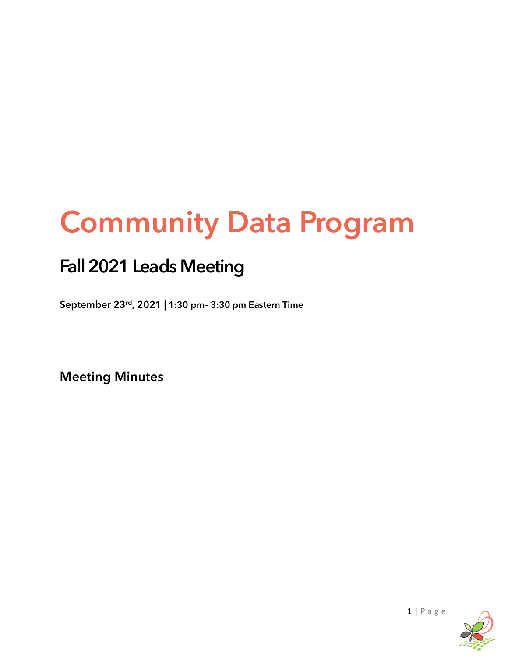# Community Data Program

# Fall 2021 Leads Meeting

**September 23rd, 2021 | 1:30 pm– 3:30 pm Eastern Time**

**Meeting Minutes**

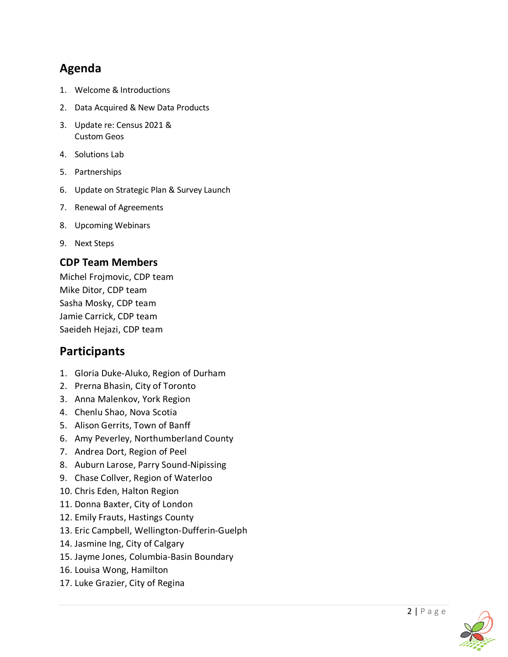## **Agenda**

- 1. Welcome & Introductions
- 2. Data Acquired & New Data Products
- 3. Update re: Census 2021 & Custom Geos
- 4. Solutions Lab
- 5. Partnerships
- 6. Update on Strategic Plan & Survey Launch
- 7. Renewal of Agreements
- 8. Upcoming Webinars
- 9. Next Steps

#### **CDP Team Members**

Michel Frojmovic, CDP team Mike Ditor, CDP team Sasha Mosky, CDP team Jamie Carrick, CDP team Saeideh Hejazi, CDP team

### **Participants**

- 1. Gloria Duke-Aluko, Region of Durham
- 2. Prerna Bhasin, City of Toronto
- 3. Anna Malenkov, York Region
- 4. Chenlu Shao, Nova Scotia
- 5. Alison Gerrits, Town of Banff
- 6. Amy Peverley, Northumberland County
- 7. Andrea Dort, Region of Peel
- 8. Auburn Larose, Parry Sound-Nipissing
- 9. Chase Collver, Region of Waterloo
- 10. Chris Eden, Halton Region
- 11. Donna Baxter, City of London
- 12. Emily Frauts, Hastings County
- 13. Eric Campbell, Wellington-Dufferin-Guelph
- 14. Jasmine Ing, City of Calgary
- 15. Jayme Jones, Columbia-Basin Boundary
- 16. Louisa Wong, Hamilton
- 17. Luke Grazier, City of Regina

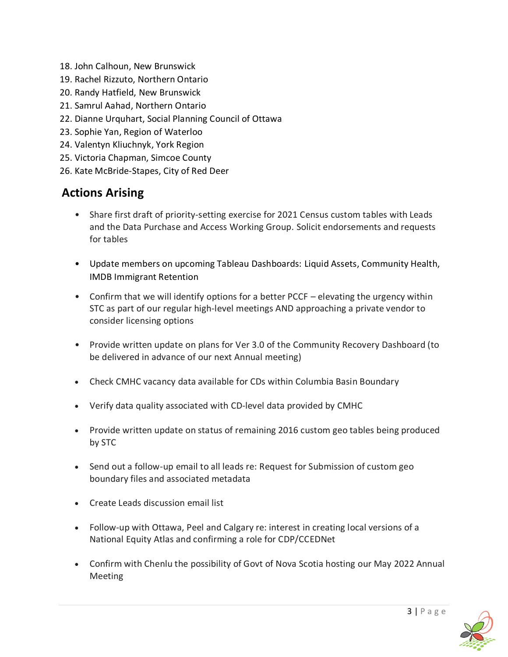- 18. John Calhoun, New Brunswick
- 19. Rachel Rizzuto, Northern Ontario
- 20. Randy Hatfield, New Brunswick
- 21. Samrul Aahad, Northern Ontario
- 22. Dianne Urquhart, Social Planning Council of Ottawa
- 23. Sophie Yan, Region of Waterloo
- 24. Valentyn Kliuchnyk, York Region
- 25. Victoria Chapman, Simcoe County
- 26. Kate McBride-Stapes, City of Red Deer

# **Actions Arising**

- Share first draft of priority-setting exercise for 2021 Census custom tables with Leads and the Data Purchase and Access Working Group. Solicit endorsements and requests for tables
- Update members on upcoming Tableau Dashboards: Liquid Assets, Community Health, IMDB Immigrant Retention
- Confirm that we will identify options for a better PCCF elevating the urgency within STC as part of our regular high-level meetings AND approaching a private vendor to consider licensing options
- Provide written update on plans for Ver 3.0 of the Community Recovery Dashboard (to be delivered in advance of our next Annual meeting)
- Check CMHC vacancy data available for CDs within Columbia Basin Boundary
- Verify data quality associated with CD-level data provided by CMHC
- Provide written update on status of remaining 2016 custom geo tables being produced by STC
- Send out a follow-up email to all leads re: Request for Submission of custom geo boundary files and associated metadata
- Create Leads discussion email list
- Follow-up with Ottawa, Peel and Calgary re: interest in creating local versions of a National Equity Atlas and confirming a role for CDP/CCEDNet
- Confirm with Chenlu the possibility of Govt of Nova Scotia hosting our May 2022 Annual Meeting